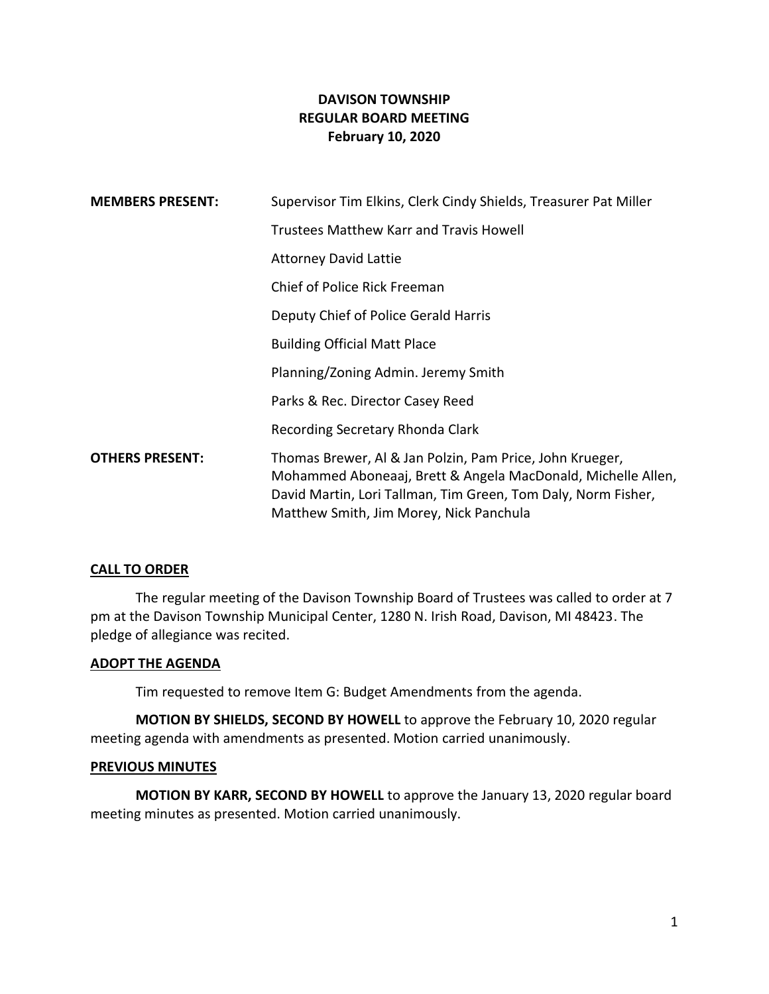# **DAVISON TOWNSHIP REGULAR BOARD MEETING February 10, 2020**

| <b>MEMBERS PRESENT:</b> | Supervisor Tim Elkins, Clerk Cindy Shields, Treasurer Pat Miller                                                                                                                                                                     |
|-------------------------|--------------------------------------------------------------------------------------------------------------------------------------------------------------------------------------------------------------------------------------|
|                         | <b>Trustees Matthew Karr and Travis Howell</b>                                                                                                                                                                                       |
|                         | <b>Attorney David Lattie</b>                                                                                                                                                                                                         |
|                         | Chief of Police Rick Freeman                                                                                                                                                                                                         |
|                         | Deputy Chief of Police Gerald Harris                                                                                                                                                                                                 |
|                         | <b>Building Official Matt Place</b>                                                                                                                                                                                                  |
|                         | Planning/Zoning Admin. Jeremy Smith                                                                                                                                                                                                  |
|                         | Parks & Rec. Director Casey Reed                                                                                                                                                                                                     |
|                         | Recording Secretary Rhonda Clark                                                                                                                                                                                                     |
| <b>OTHERS PRESENT:</b>  | Thomas Brewer, Al & Jan Polzin, Pam Price, John Krueger,<br>Mohammed Aboneaaj, Brett & Angela MacDonald, Michelle Allen,<br>David Martin, Lori Tallman, Tim Green, Tom Daly, Norm Fisher,<br>Matthew Smith, Jim Morey, Nick Panchula |

## **CALL TO ORDER**

The regular meeting of the Davison Township Board of Trustees was called to order at 7 pm at the Davison Township Municipal Center, 1280 N. Irish Road, Davison, MI 48423. The pledge of allegiance was recited.

#### **ADOPT THE AGENDA**

Tim requested to remove Item G: Budget Amendments from the agenda.

**MOTION BY SHIELDS, SECOND BY HOWELL** to approve the February 10, 2020 regular meeting agenda with amendments as presented. Motion carried unanimously.

#### **PREVIOUS MINUTES**

**MOTION BY KARR, SECOND BY HOWELL** to approve the January 13, 2020 regular board meeting minutes as presented. Motion carried unanimously.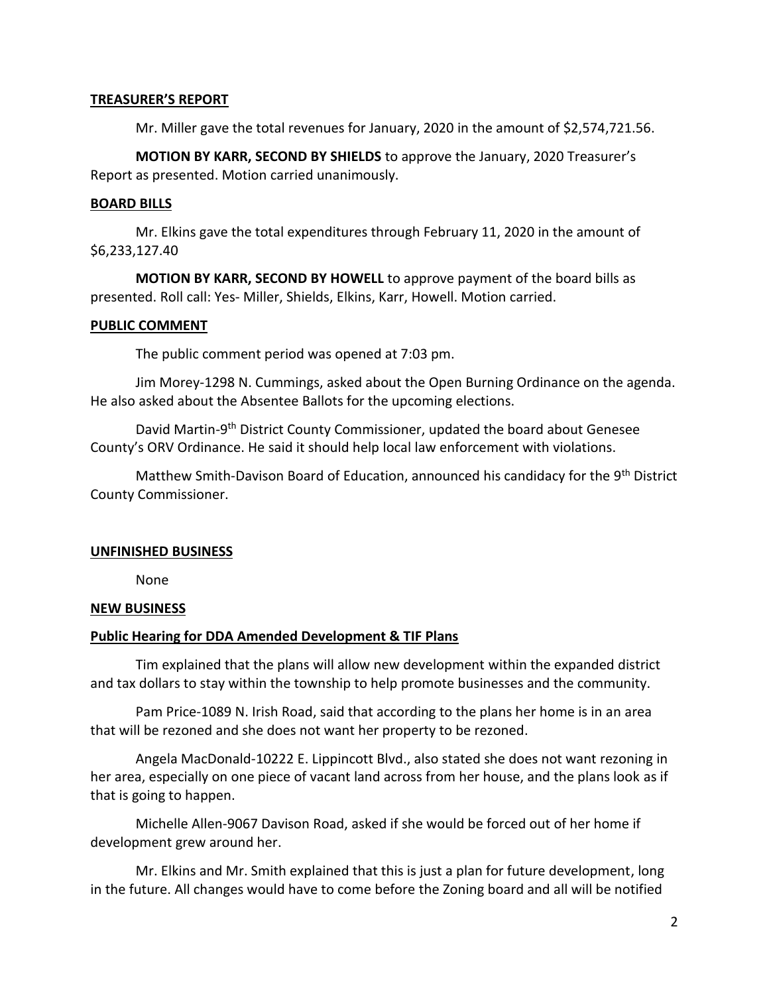## **TREASURER'S REPORT**

Mr. Miller gave the total revenues for January, 2020 in the amount of \$2,574,721.56.

**MOTION BY KARR, SECOND BY SHIELDS** to approve the January, 2020 Treasurer's Report as presented. Motion carried unanimously.

## **BOARD BILLS**

Mr. Elkins gave the total expenditures through February 11, 2020 in the amount of \$6,233,127.40

**MOTION BY KARR, SECOND BY HOWELL** to approve payment of the board bills as presented. Roll call: Yes- Miller, Shields, Elkins, Karr, Howell. Motion carried.

## **PUBLIC COMMENT**

The public comment period was opened at 7:03 pm.

Jim Morey-1298 N. Cummings, asked about the Open Burning Ordinance on the agenda. He also asked about the Absentee Ballots for the upcoming elections.

David Martin-9<sup>th</sup> District County Commissioner, updated the board about Genesee County's ORV Ordinance. He said it should help local law enforcement with violations.

Matthew Smith-Davison Board of Education, announced his candidacy for the 9<sup>th</sup> District County Commissioner.

## **UNFINISHED BUSINESS**

None

## **NEW BUSINESS**

## **Public Hearing for DDA Amended Development & TIF Plans**

Tim explained that the plans will allow new development within the expanded district and tax dollars to stay within the township to help promote businesses and the community.

Pam Price-1089 N. Irish Road, said that according to the plans her home is in an area that will be rezoned and she does not want her property to be rezoned.

Angela MacDonald-10222 E. Lippincott Blvd., also stated she does not want rezoning in her area, especially on one piece of vacant land across from her house, and the plans look as if that is going to happen.

Michelle Allen-9067 Davison Road, asked if she would be forced out of her home if development grew around her.

Mr. Elkins and Mr. Smith explained that this is just a plan for future development, long in the future. All changes would have to come before the Zoning board and all will be notified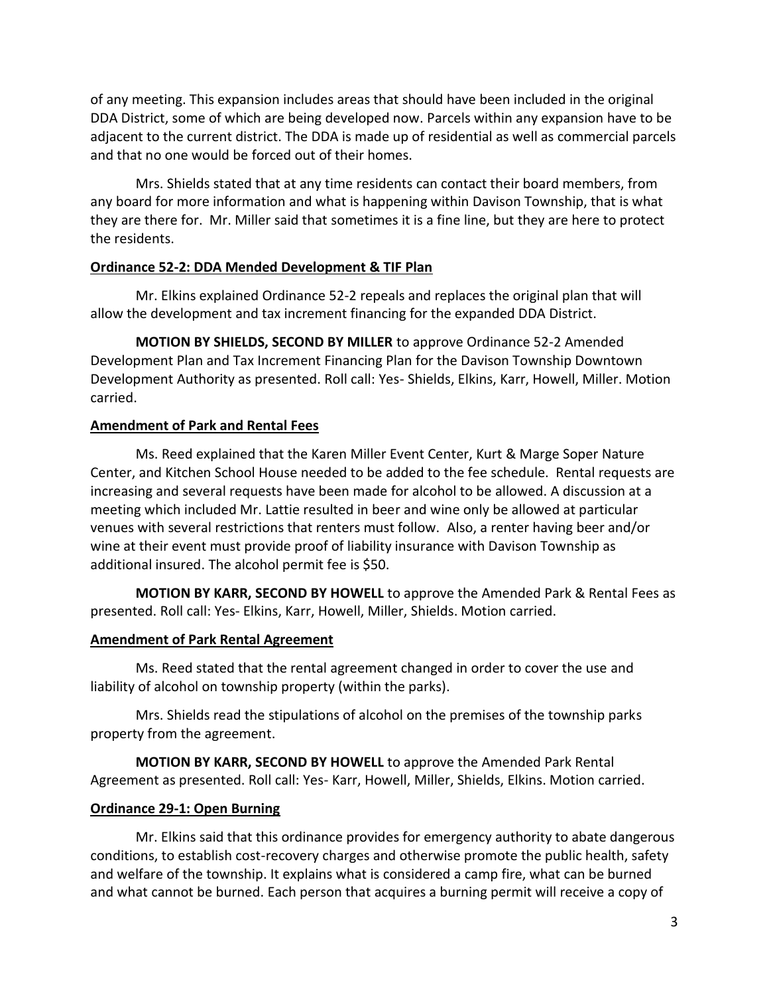of any meeting. This expansion includes areas that should have been included in the original DDA District, some of which are being developed now. Parcels within any expansion have to be adjacent to the current district. The DDA is made up of residential as well as commercial parcels and that no one would be forced out of their homes.

Mrs. Shields stated that at any time residents can contact their board members, from any board for more information and what is happening within Davison Township, that is what they are there for. Mr. Miller said that sometimes it is a fine line, but they are here to protect the residents.

#### **Ordinance 52-2: DDA Mended Development & TIF Plan**

Mr. Elkins explained Ordinance 52-2 repeals and replaces the original plan that will allow the development and tax increment financing for the expanded DDA District.

**MOTION BY SHIELDS, SECOND BY MILLER** to approve Ordinance 52-2 Amended Development Plan and Tax Increment Financing Plan for the Davison Township Downtown Development Authority as presented. Roll call: Yes- Shields, Elkins, Karr, Howell, Miller. Motion carried.

## **Amendment of Park and Rental Fees**

Ms. Reed explained that the Karen Miller Event Center, Kurt & Marge Soper Nature Center, and Kitchen School House needed to be added to the fee schedule. Rental requests are increasing and several requests have been made for alcohol to be allowed. A discussion at a meeting which included Mr. Lattie resulted in beer and wine only be allowed at particular venues with several restrictions that renters must follow. Also, a renter having beer and/or wine at their event must provide proof of liability insurance with Davison Township as additional insured. The alcohol permit fee is \$50.

**MOTION BY KARR, SECOND BY HOWELL** to approve the Amended Park & Rental Fees as presented. Roll call: Yes- Elkins, Karr, Howell, Miller, Shields. Motion carried.

## **Amendment of Park Rental Agreement**

Ms. Reed stated that the rental agreement changed in order to cover the use and liability of alcohol on township property (within the parks).

Mrs. Shields read the stipulations of alcohol on the premises of the township parks property from the agreement.

**MOTION BY KARR, SECOND BY HOWELL** to approve the Amended Park Rental Agreement as presented. Roll call: Yes- Karr, Howell, Miller, Shields, Elkins. Motion carried.

## **Ordinance 29-1: Open Burning**

Mr. Elkins said that this ordinance provides for emergency authority to abate dangerous conditions, to establish cost-recovery charges and otherwise promote the public health, safety and welfare of the township. It explains what is considered a camp fire, what can be burned and what cannot be burned. Each person that acquires a burning permit will receive a copy of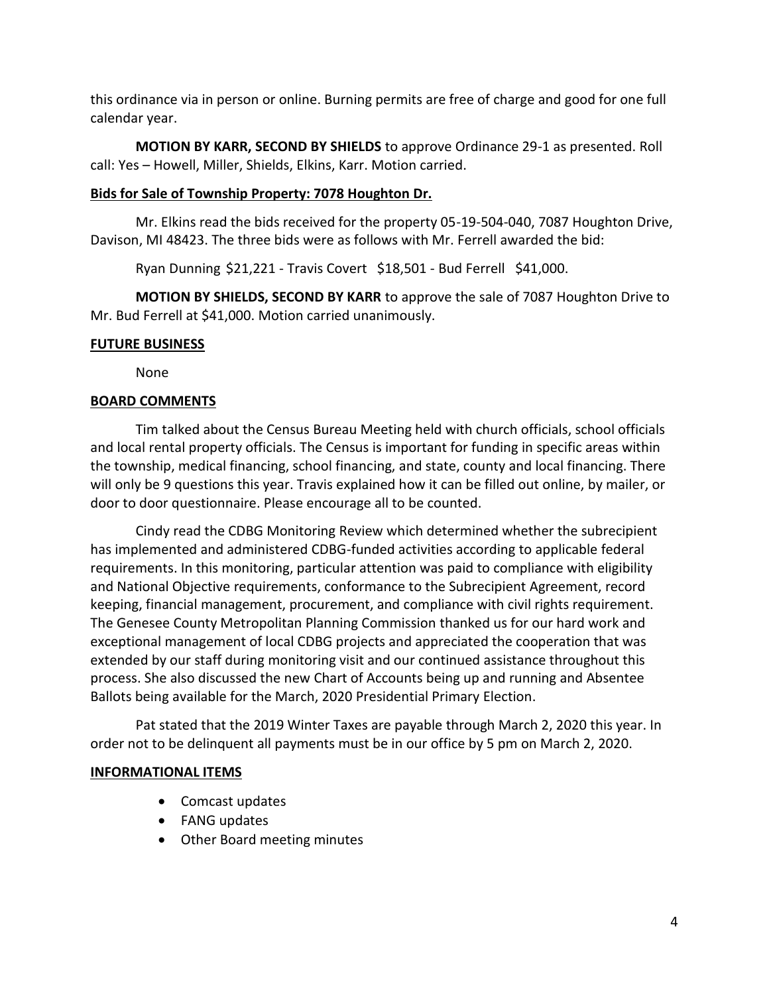this ordinance via in person or online. Burning permits are free of charge and good for one full calendar year.

**MOTION BY KARR, SECOND BY SHIELDS** to approve Ordinance 29-1 as presented. Roll call: Yes – Howell, Miller, Shields, Elkins, Karr. Motion carried.

# **Bids for Sale of Township Property: 7078 Houghton Dr.**

Mr. Elkins read the bids received for the property 05-19-504-040, 7087 Houghton Drive, Davison, MI 48423. The three bids were as follows with Mr. Ferrell awarded the bid:

Ryan Dunning \$21,221 - Travis Covert \$18,501 - Bud Ferrell \$41,000.

**MOTION BY SHIELDS, SECOND BY KARR** to approve the sale of 7087 Houghton Drive to Mr. Bud Ferrell at \$41,000. Motion carried unanimously.

# **FUTURE BUSINESS**

None

# **BOARD COMMENTS**

Tim talked about the Census Bureau Meeting held with church officials, school officials and local rental property officials. The Census is important for funding in specific areas within the township, medical financing, school financing, and state, county and local financing. There will only be 9 questions this year. Travis explained how it can be filled out online, by mailer, or door to door questionnaire. Please encourage all to be counted.

Cindy read the CDBG Monitoring Review which determined whether the subrecipient has implemented and administered CDBG-funded activities according to applicable federal requirements. In this monitoring, particular attention was paid to compliance with eligibility and National Objective requirements, conformance to the Subrecipient Agreement, record keeping, financial management, procurement, and compliance with civil rights requirement. The Genesee County Metropolitan Planning Commission thanked us for our hard work and exceptional management of local CDBG projects and appreciated the cooperation that was extended by our staff during monitoring visit and our continued assistance throughout this process. She also discussed the new Chart of Accounts being up and running and Absentee Ballots being available for the March, 2020 Presidential Primary Election.

Pat stated that the 2019 Winter Taxes are payable through March 2, 2020 this year. In order not to be delinquent all payments must be in our office by 5 pm on March 2, 2020.

# **INFORMATIONAL ITEMS**

- Comcast updates
- FANG updates
- Other Board meeting minutes